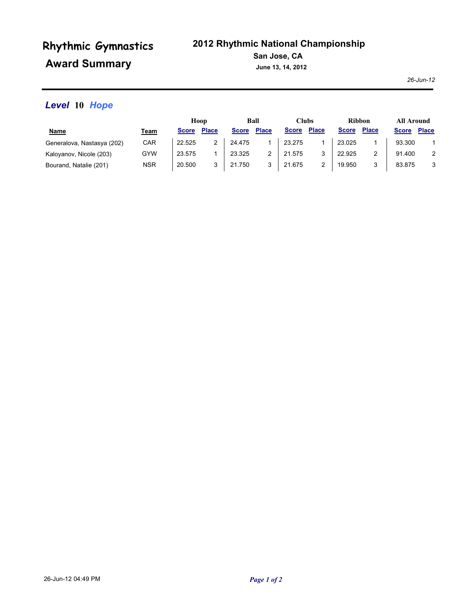# **Award Summary Rhythmic Gymnastics**

## **2012 Rhythmic National Championship**

**San Jose, CA**

**June 13, 14, 2012**

*26-Jun-12*

## *Level* **10** *Hope*

|                            |            | Hoop         |              | Ball         |              | Clubs        |              | <b>Ribbon</b> |              | <b>All Around</b> |              |
|----------------------------|------------|--------------|--------------|--------------|--------------|--------------|--------------|---------------|--------------|-------------------|--------------|
| <u>Name</u>                | Team       | <b>Score</b> | <b>Place</b> | <b>Score</b> | <b>Place</b> | <b>Score</b> | <b>Place</b> | <b>Score</b>  | <b>Place</b> | <b>Score</b>      | <b>Place</b> |
| Generalova, Nastasya (202) | CAR        | 22.525       | 2            | 24.475       |              | 23.275       |              | 23.025        |              | 93.300            |              |
| Kaloyanov, Nicole (203)    | GYW        | 23.575       |              | 23.325       |              | 21.575       |              | 22.925        |              | 91.400            | 2            |
| Bourand, Natalie (201)     | <b>NSR</b> | 20.500       | 3            | 21.750       |              | 21.675       |              | 19.950        | 2            | 83.875            | 3            |